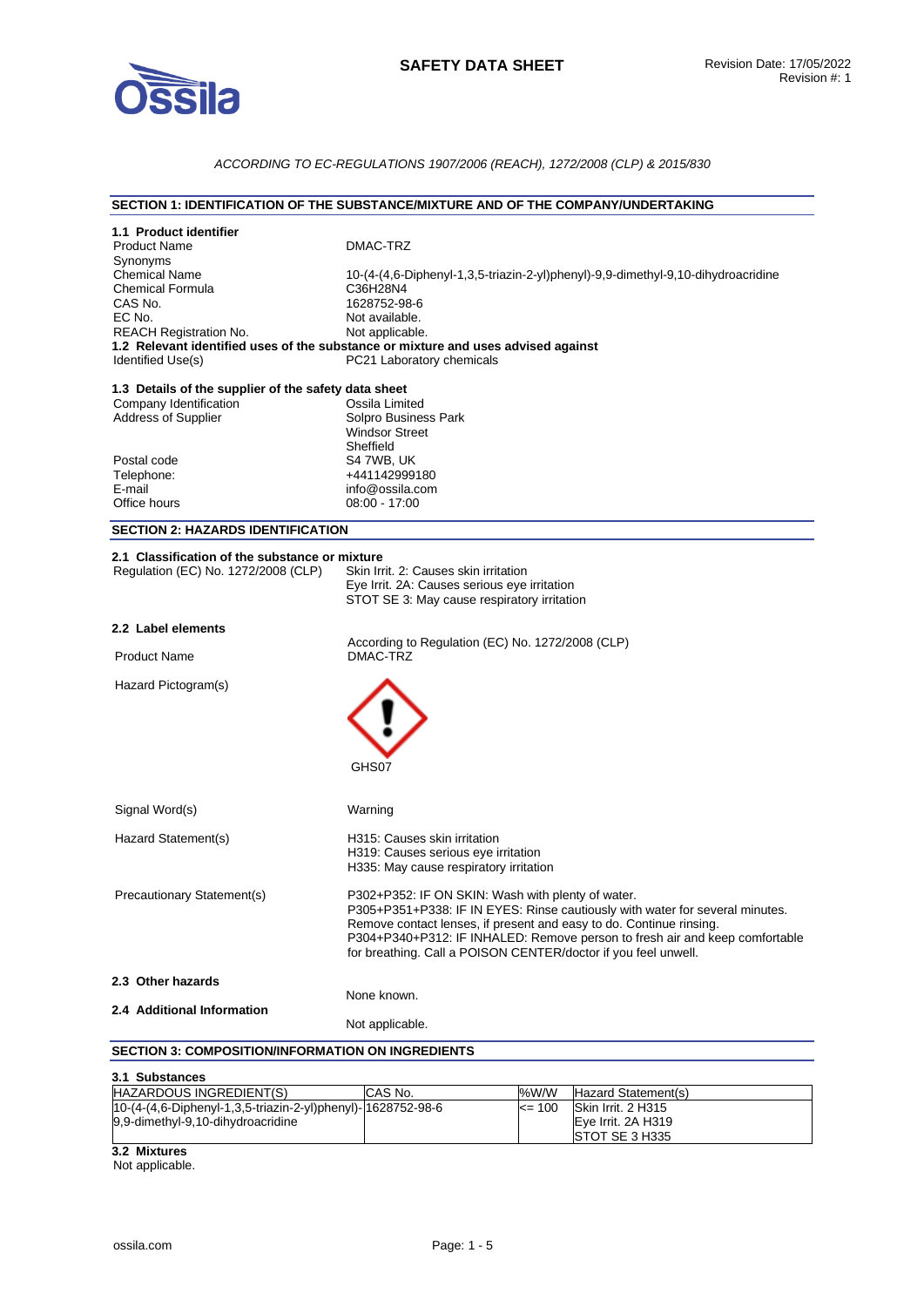

# *ACCORDING TO EC-REGULATIONS 1907/2006 (REACH), 1272/2008 (CLP) & 2015/830*

### **SECTION 1: IDENTIFICATION OF THE SUBSTANCE/MIXTURE AND OF THE COMPANY/UNDERTAKING**

| 1.1 Product identifier<br><b>Product Name</b><br>Synonyms<br><b>Chemical Name</b><br><b>Chemical Formula</b><br>CAS No.<br>EC No.<br><b>REACH Registration No.</b><br>Identified Use(s) | DMAC-TRZ<br>10-(4-(4,6-Diphenyl-1,3,5-triazin-2-yl)phenyl)-9,9-dimethyl-9,10-dihydroacridine<br>C36H28N4<br>1628752-98-6<br>Not available.<br>Not applicable.<br>1.2 Relevant identified uses of the substance or mixture and uses advised against<br>PC21 Laboratory chemicals                                                                           |
|-----------------------------------------------------------------------------------------------------------------------------------------------------------------------------------------|-----------------------------------------------------------------------------------------------------------------------------------------------------------------------------------------------------------------------------------------------------------------------------------------------------------------------------------------------------------|
| 1.3 Details of the supplier of the safety data sheet<br>Company Identification<br>Address of Supplier                                                                                   | Ossila Limited<br>Solpro Business Park<br><b>Windsor Street</b><br>Sheffield                                                                                                                                                                                                                                                                              |
| Postal code<br>Telephone:<br>E-mail<br>Office hours                                                                                                                                     | S4 7WB, UK<br>+441142999180<br>info@ossila.com<br>08:00 - 17:00                                                                                                                                                                                                                                                                                           |
| <b>SECTION 2: HAZARDS IDENTIFICATION</b>                                                                                                                                                |                                                                                                                                                                                                                                                                                                                                                           |
| 2.1 Classification of the substance or mixture<br>Regulation (EC) No. 1272/2008 (CLP)                                                                                                   | Skin Irrit. 2: Causes skin irritation<br>Eye Irrit. 2A: Causes serious eye irritation<br>STOT SE 3: May cause respiratory irritation                                                                                                                                                                                                                      |
| 2.2 Label elements                                                                                                                                                                      |                                                                                                                                                                                                                                                                                                                                                           |
| <b>Product Name</b>                                                                                                                                                                     | According to Regulation (EC) No. 1272/2008 (CLP)<br>DMAC-TRZ                                                                                                                                                                                                                                                                                              |
| Hazard Pictogram(s)                                                                                                                                                                     | GHS07                                                                                                                                                                                                                                                                                                                                                     |
| Signal Word(s)                                                                                                                                                                          | Warning                                                                                                                                                                                                                                                                                                                                                   |
| Hazard Statement(s)                                                                                                                                                                     | H315: Causes skin irritation<br>H319: Causes serious eye irritation<br>H335: May cause respiratory irritation                                                                                                                                                                                                                                             |
| Precautionary Statement(s)                                                                                                                                                              | P302+P352: IF ON SKIN: Wash with plenty of water.<br>P305+P351+P338: IF IN EYES: Rinse cautiously with water for several minutes.<br>Remove contact lenses, if present and easy to do. Continue rinsing.<br>P304+P340+P312: IF INHALED: Remove person to fresh air and keep comfortable<br>for breathing. Call a POISON CENTER/doctor if you feel unwell. |
| 2.3 Other hazards                                                                                                                                                                       |                                                                                                                                                                                                                                                                                                                                                           |
| 2.4 Additional Information                                                                                                                                                              | None known.<br>Not applicable.                                                                                                                                                                                                                                                                                                                            |
| <b>SECTION 3: COMPOSITION/INFORMATION ON INGREDIENTS</b>                                                                                                                                |                                                                                                                                                                                                                                                                                                                                                           |
| 3.1 Substances                                                                                                                                                                          |                                                                                                                                                                                                                                                                                                                                                           |

| HAZARDOUS INGREDIENT(S)                                     | <b>CAS No.</b> | %W/W       | Hazard Statement(s)    |
|-------------------------------------------------------------|----------------|------------|------------------------|
| 10-(4-(4,6-Diphenyl-1,3,5-triazin-2-yl)phenyl)-1628752-98-6 |                | $\leq$ 100 | Skin Irrit. 2 H315     |
| 9,9-dimethyl-9,10-dihydroacridine                           |                |            | Eve Irrit. 2A H319     |
|                                                             |                |            | <b>ISTOT SE 3 H335</b> |

**3.2 Mixtures** 

Not applicable.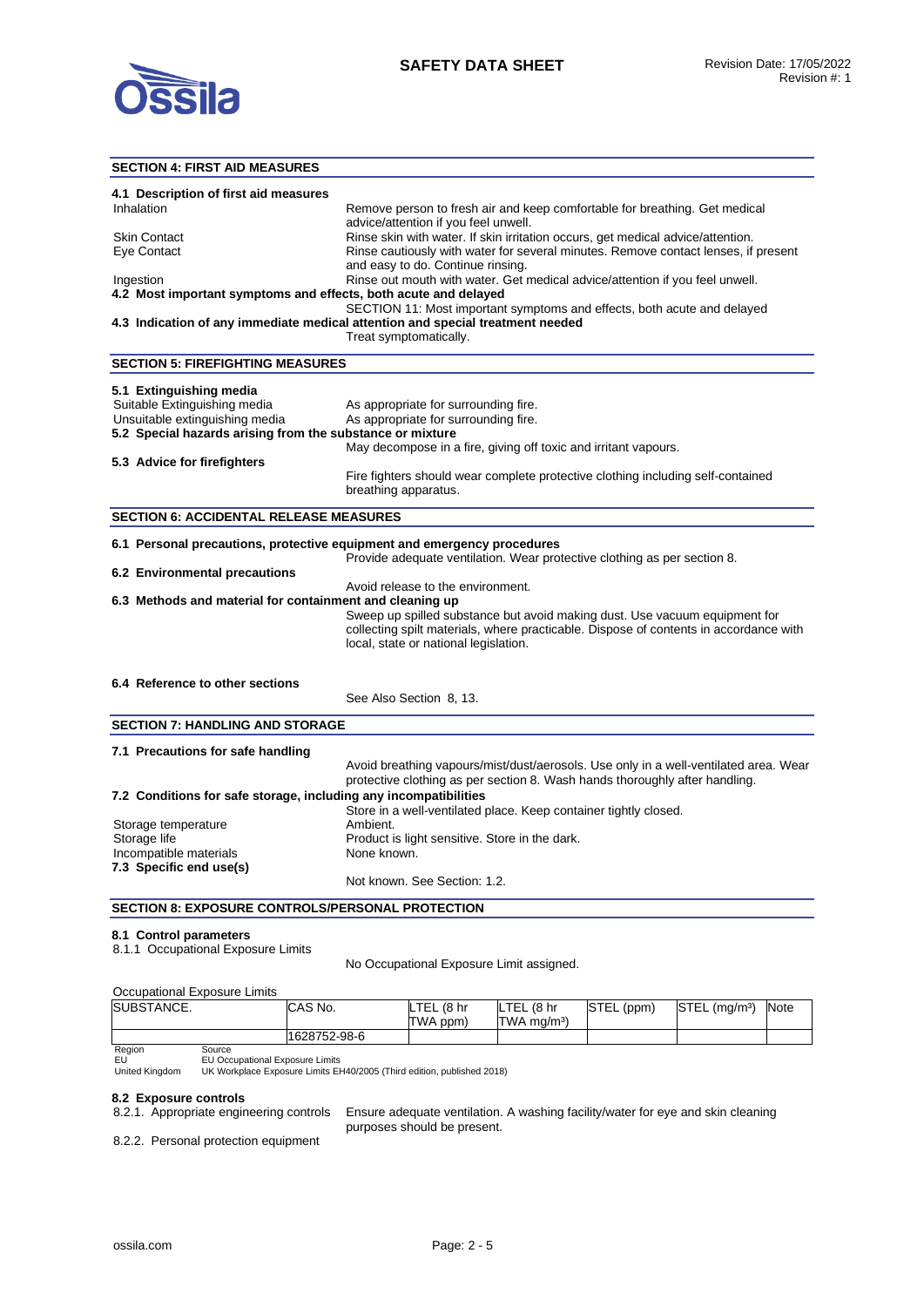

## **SECTION 4: FIRST AID MEASURES**

| SEGTION 4: FIRST AID MEASURES                                           |                                                                                       |
|-------------------------------------------------------------------------|---------------------------------------------------------------------------------------|
|                                                                         |                                                                                       |
| 4.1 Description of first aid measures<br>Inhalation                     | Remove person to fresh air and keep comfortable for breathing. Get medical            |
|                                                                         | advice/attention if you feel unwell.                                                  |
| Skin Contact                                                            | Rinse skin with water. If skin irritation occurs, get medical advice/attention.       |
| Eye Contact                                                             | Rinse cautiously with water for several minutes. Remove contact lenses, if present    |
|                                                                         | and easy to do. Continue rinsing.                                                     |
| Ingestion                                                               | Rinse out mouth with water. Get medical advice/attention if you feel unwell.          |
| 4.2 Most important symptoms and effects, both acute and delayed         |                                                                                       |
|                                                                         | SECTION 11: Most important symptoms and effects, both acute and delayed               |
|                                                                         | 4.3 Indication of any immediate medical attention and special treatment needed        |
|                                                                         | Treat symptomatically.                                                                |
| <b>SECTION 5: FIREFIGHTING MEASURES</b>                                 |                                                                                       |
| 5.1 Extinguishing media                                                 |                                                                                       |
| Suitable Extinguishing media                                            | As appropriate for surrounding fire.                                                  |
| Unsuitable extinguishing media                                          | As appropriate for surrounding fire.                                                  |
| 5.2 Special hazards arising from the substance or mixture               |                                                                                       |
|                                                                         | May decompose in a fire, giving off toxic and irritant vapours.                       |
| 5.3 Advice for firefighters                                             |                                                                                       |
|                                                                         | Fire fighters should wear complete protective clothing including self-contained       |
|                                                                         | breathing apparatus.                                                                  |
|                                                                         |                                                                                       |
| <b>SECTION 6: ACCIDENTAL RELEASE MEASURES</b>                           |                                                                                       |
| 6.1 Personal precautions, protective equipment and emergency procedures |                                                                                       |
|                                                                         | Provide adequate ventilation. Wear protective clothing as per section 8.              |
| 6.2 Environmental precautions                                           |                                                                                       |
|                                                                         | Avoid release to the environment.                                                     |
| 6.3 Methods and material for containment and cleaning up                |                                                                                       |
|                                                                         | Sweep up spilled substance but avoid making dust. Use vacuum equipment for            |
|                                                                         | collecting spilt materials, where practicable. Dispose of contents in accordance with |
|                                                                         | local, state or national legislation.                                                 |
|                                                                         |                                                                                       |
| 6.4 Reference to other sections                                         |                                                                                       |
|                                                                         | See Also Section 8, 13.                                                               |
|                                                                         |                                                                                       |
| <b>SECTION 7: HANDLING AND STORAGE</b>                                  |                                                                                       |
| 7.1 Precautions for safe handling                                       |                                                                                       |
|                                                                         | Avoid breathing vapours/mist/dust/aerosols. Use only in a well-ventilated area. Wear  |
|                                                                         | protective clothing as per section 8. Wash hands thoroughly after handling.           |
| 7.2 Conditions for safe storage, including any incompatibilities        |                                                                                       |
|                                                                         | Store in a well-ventilated place. Keep container tightly closed.                      |
| Storage temperature                                                     | Ambient.                                                                              |
| Storage life                                                            | Product is light sensitive. Store in the dark.                                        |
| Incompatible materials                                                  | None known.                                                                           |
| 7.3 Specific end use(s)                                                 |                                                                                       |
|                                                                         | Not known. See Section: 1.2.                                                          |
|                                                                         |                                                                                       |

**SECTION 8: EXPOSURE CONTROLS/PERSONAL PROTECTION** 

#### **8.1 Control parameters**

8.1.1 Occupational Exposure Limits

No Occupational Exposure Limit assigned.

### Occupational Exposure Limits

| SUBSTANCE.     |                                                                        | CAS No.      | LTEL (8 hr<br>TWA ppm) | LTEL (8 hr<br>$TWA$ ma/m <sup>3</sup> ) | STEL (ppm) | $STEL$ (mg/m <sup>3</sup> ) | Note |
|----------------|------------------------------------------------------------------------|--------------|------------------------|-----------------------------------------|------------|-----------------------------|------|
|                |                                                                        | 1628752-98-6 |                        |                                         |            |                             |      |
| Region         | Source                                                                 |              |                        |                                         |            |                             |      |
| EU             | <b>EU Occupational Exposure Limits</b>                                 |              |                        |                                         |            |                             |      |
| United Kingdom | UK Workplace Exposure Limits EH40/2005 (Third edition, published 2018) |              |                        |                                         |            |                             |      |

United Kingdom

#### **8.2 Exposure controls**

8.2.1. Appropriate engineering controls Ensure adequate ventilation. A washing facility/water for eye and skin cleaning purposes should be present.

8.2.2. Personal protection equipment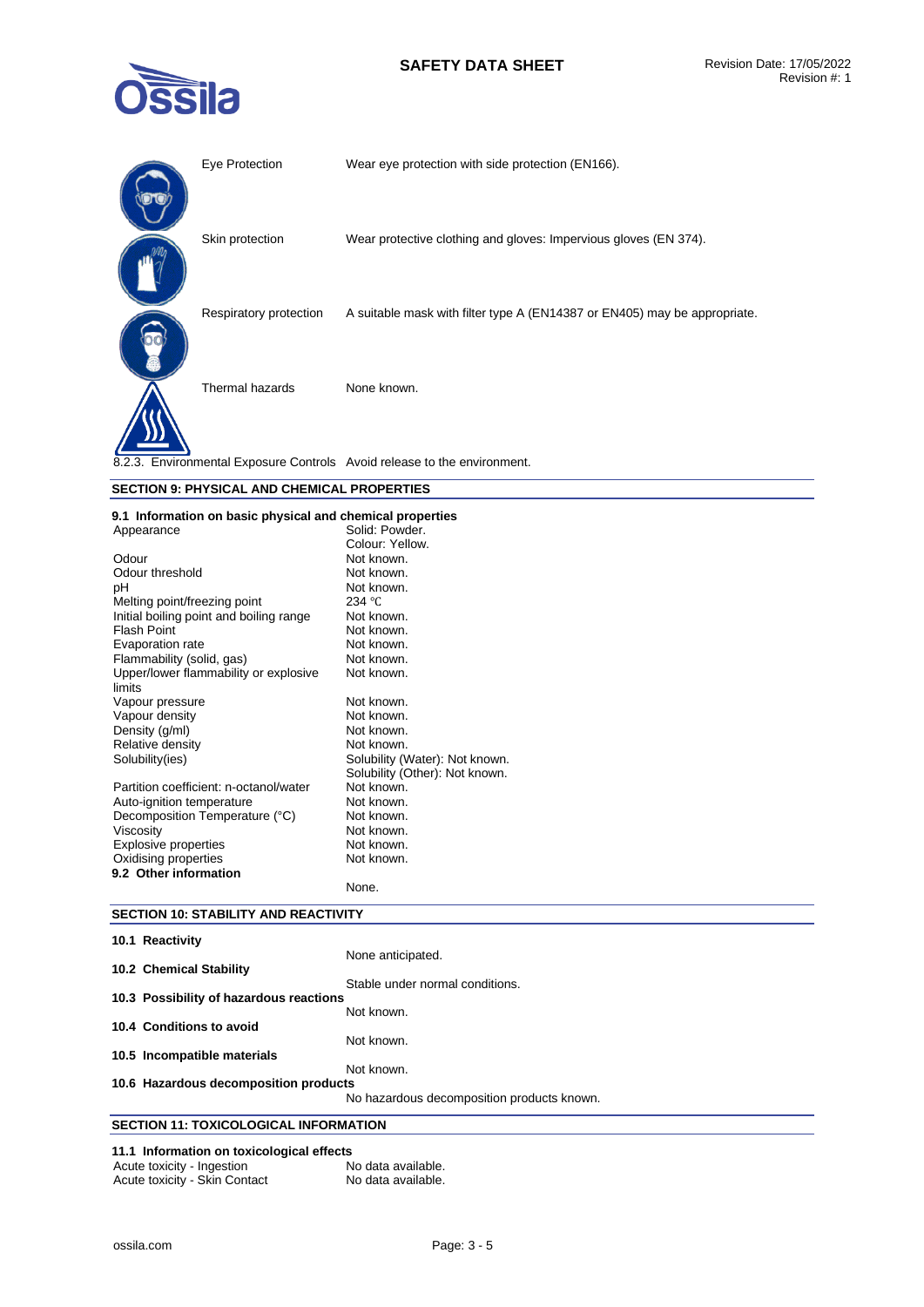# **SAFETY DATA SHEET** Revision Date: 17/05/2022



| Eye Protection         | Wear eye protection with side protection (EN166).                         |
|------------------------|---------------------------------------------------------------------------|
| Skin protection        | Wear protective clothing and gloves: Impervious gloves (EN 374).          |
| Respiratory protection | A suitable mask with filter type A (EN14387 or EN405) may be appropriate. |
| Thermal hazards        | None known.                                                               |
|                        | 8.2.3. Environmental Exposure Controls Avoid release to the environment.  |

## **SECTION 9: PHYSICAL AND CHEMICAL PROPERTIES**

#### **9.1 Information on basic physical and chemical properties**

| Solid: Powder.                 |
|--------------------------------|
| Colour: Yellow.                |
| Not known.                     |
| Not known.                     |
| Not known.                     |
| 234 °C                         |
| Not known.                     |
| Not known.                     |
| Not known.                     |
| Not known.                     |
| Not known.                     |
|                                |
| Not known.                     |
| Not known.                     |
| Not known.                     |
| Not known.                     |
| Solubility (Water): Not known. |
| Solubility (Other): Not known. |
| Not known.                     |
| Not known.                     |
| Not known.                     |
| Not known.                     |
| Not known.                     |
| Not known.                     |
|                                |
| None.                          |
|                                |

## **SECTION 10: STABILITY AND REACTIVITY**

| 10.1 Reactivity                              |                                            |
|----------------------------------------------|--------------------------------------------|
|                                              | None anticipated.                          |
| 10.2 Chemical Stability                      | Stable under normal conditions.            |
| 10.3 Possibility of hazardous reactions      |                                            |
|                                              | Not known.                                 |
| 10.4 Conditions to avoid                     | Not known.                                 |
| 10.5 Incompatible materials                  |                                            |
|                                              | Not known.                                 |
| 10.6 Hazardous decomposition products        |                                            |
|                                              | No hazardous decomposition products known. |
| <b>SECTION 11: TOXICOLOGICAL INFORMATION</b> |                                            |

## **11.1 Information on toxicological effects**  Acute toxicity - Ingestion

| Acute toxicity - Skin Contact | No data available. |
|-------------------------------|--------------------|
|                               |                    |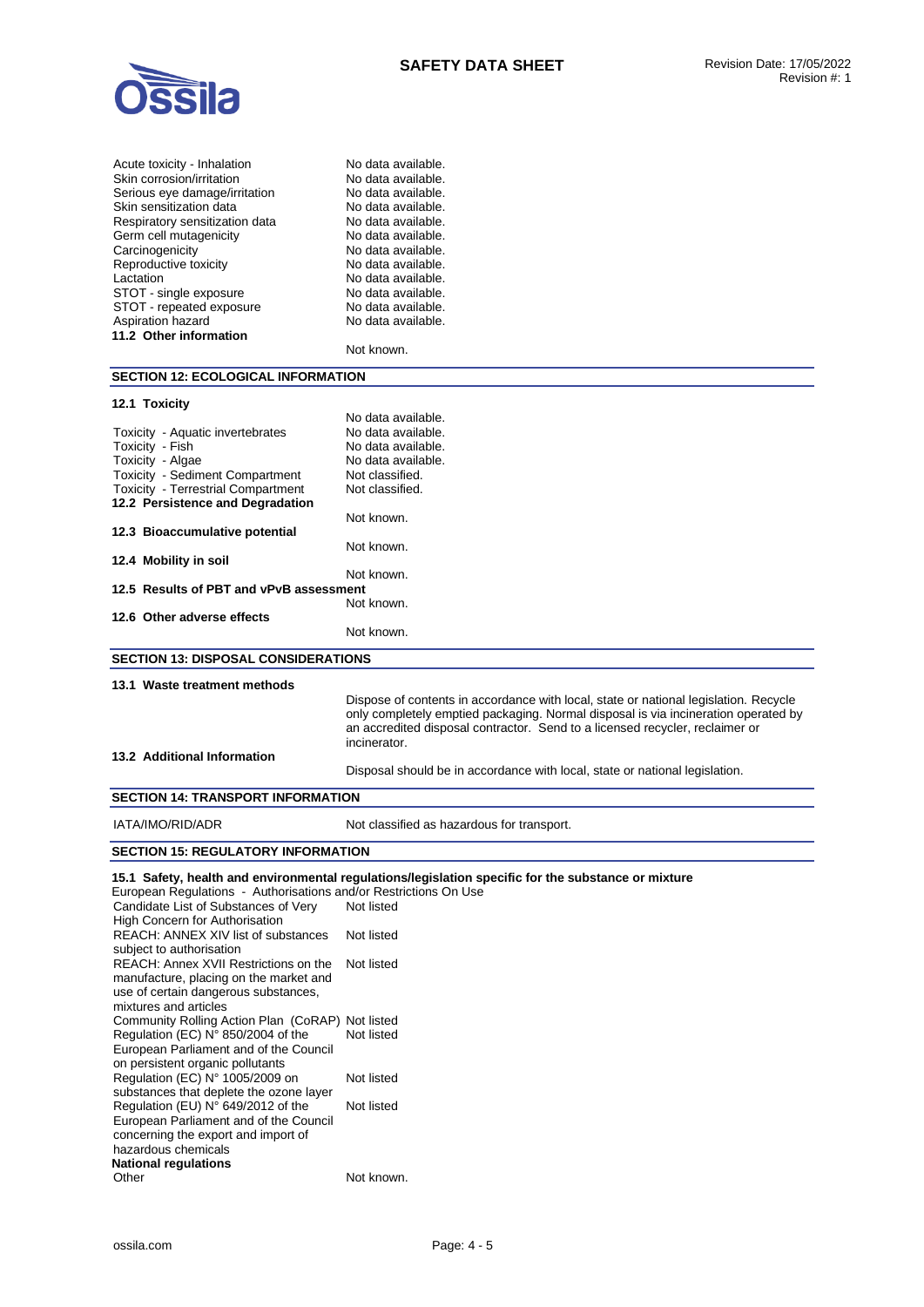

| Acute toxicity - Inhalation                                                | No data available.                                                                                  |
|----------------------------------------------------------------------------|-----------------------------------------------------------------------------------------------------|
| Skin corrosion/irritation                                                  | No data available.                                                                                  |
| Serious eye damage/irritation                                              | No data available.                                                                                  |
| Skin sensitization data<br>Respiratory sensitization data                  | No data available.<br>No data available.                                                            |
| Germ cell mutagenicity                                                     | No data available.                                                                                  |
| Carcinogenicity                                                            | No data available.                                                                                  |
| Reproductive toxicity                                                      | No data available.                                                                                  |
| Lactation                                                                  | No data available.                                                                                  |
| STOT - single exposure                                                     | No data available.                                                                                  |
| STOT - repeated exposure                                                   | No data available.                                                                                  |
| Aspiration hazard                                                          | No data available.                                                                                  |
| 11.2 Other information                                                     |                                                                                                     |
|                                                                            | Not known.                                                                                          |
| <b>SECTION 12: ECOLOGICAL INFORMATION</b>                                  |                                                                                                     |
| 12.1 Toxicity                                                              |                                                                                                     |
|                                                                            | No data available.                                                                                  |
| Toxicity - Aquatic invertebrates                                           | No data available.                                                                                  |
| Toxicity - Fish                                                            | No data available.                                                                                  |
| Toxicity - Algae                                                           | No data available.                                                                                  |
| Toxicity - Sediment Compartment                                            | Not classified.                                                                                     |
| Toxicity - Terrestrial Compartment                                         | Not classified.                                                                                     |
| 12.2 Persistence and Degradation                                           |                                                                                                     |
| 12.3 Bioaccumulative potential                                             | Not known.                                                                                          |
|                                                                            | Not known.                                                                                          |
| 12.4 Mobility in soil                                                      |                                                                                                     |
|                                                                            | Not known.                                                                                          |
| 12.5 Results of PBT and vPvB assessment                                    |                                                                                                     |
|                                                                            | Not known.                                                                                          |
| 12.6 Other adverse effects                                                 |                                                                                                     |
|                                                                            | Not known.                                                                                          |
| <b>SECTION 13: DISPOSAL CONSIDERATIONS</b>                                 |                                                                                                     |
|                                                                            |                                                                                                     |
|                                                                            |                                                                                                     |
| 13.1 Waste treatment methods                                               |                                                                                                     |
|                                                                            | Dispose of contents in accordance with local, state or national legislation. Recycle                |
|                                                                            | only completely emptied packaging. Normal disposal is via incineration operated by                  |
|                                                                            | an accredited disposal contractor. Send to a licensed recycler, reclaimer or                        |
|                                                                            | incinerator.                                                                                        |
| 13.2 Additional Information                                                |                                                                                                     |
|                                                                            | Disposal should be in accordance with local, state or national legislation.                         |
| <b>SECTION 14: TRANSPORT INFORMATION</b>                                   |                                                                                                     |
| IATA/IMO/RID/ADR                                                           |                                                                                                     |
|                                                                            | Not classified as hazardous for transport.                                                          |
| <b>SECTION 15: REGULATORY INFORMATION</b>                                  |                                                                                                     |
|                                                                            | 15.1 Safety, health and environmental regulations/legislation specific for the substance or mixture |
| European Regulations - Authorisations and/or Restrictions On Use           |                                                                                                     |
| Candidate List of Substances of Very                                       | Not listed                                                                                          |
| High Concern for Authorisation<br>REACH: ANNEX XIV list of substances      | Not listed                                                                                          |
| subject to authorisation                                                   |                                                                                                     |
| REACH: Annex XVII Restrictions on the                                      | Not listed                                                                                          |
| manufacture, placing on the market and                                     |                                                                                                     |
| use of certain dangerous substances,                                       |                                                                                                     |
| mixtures and articles                                                      |                                                                                                     |
| Community Rolling Action Plan (CoRAP) Not listed                           |                                                                                                     |
| Regulation (EC) N° 850/2004 of the                                         | Not listed                                                                                          |
| European Parliament and of the Council                                     |                                                                                                     |
| on persistent organic pollutants                                           | Not listed                                                                                          |
| Regulation (EC) N° 1005/2009 on<br>substances that deplete the ozone layer |                                                                                                     |
| Regulation (EU) N° 649/2012 of the                                         | Not listed                                                                                          |
| European Parliament and of the Council                                     |                                                                                                     |
| concerning the export and import of                                        |                                                                                                     |
| hazardous chemicals                                                        |                                                                                                     |
| <b>National regulations</b>                                                |                                                                                                     |
| Other                                                                      | Not known.                                                                                          |